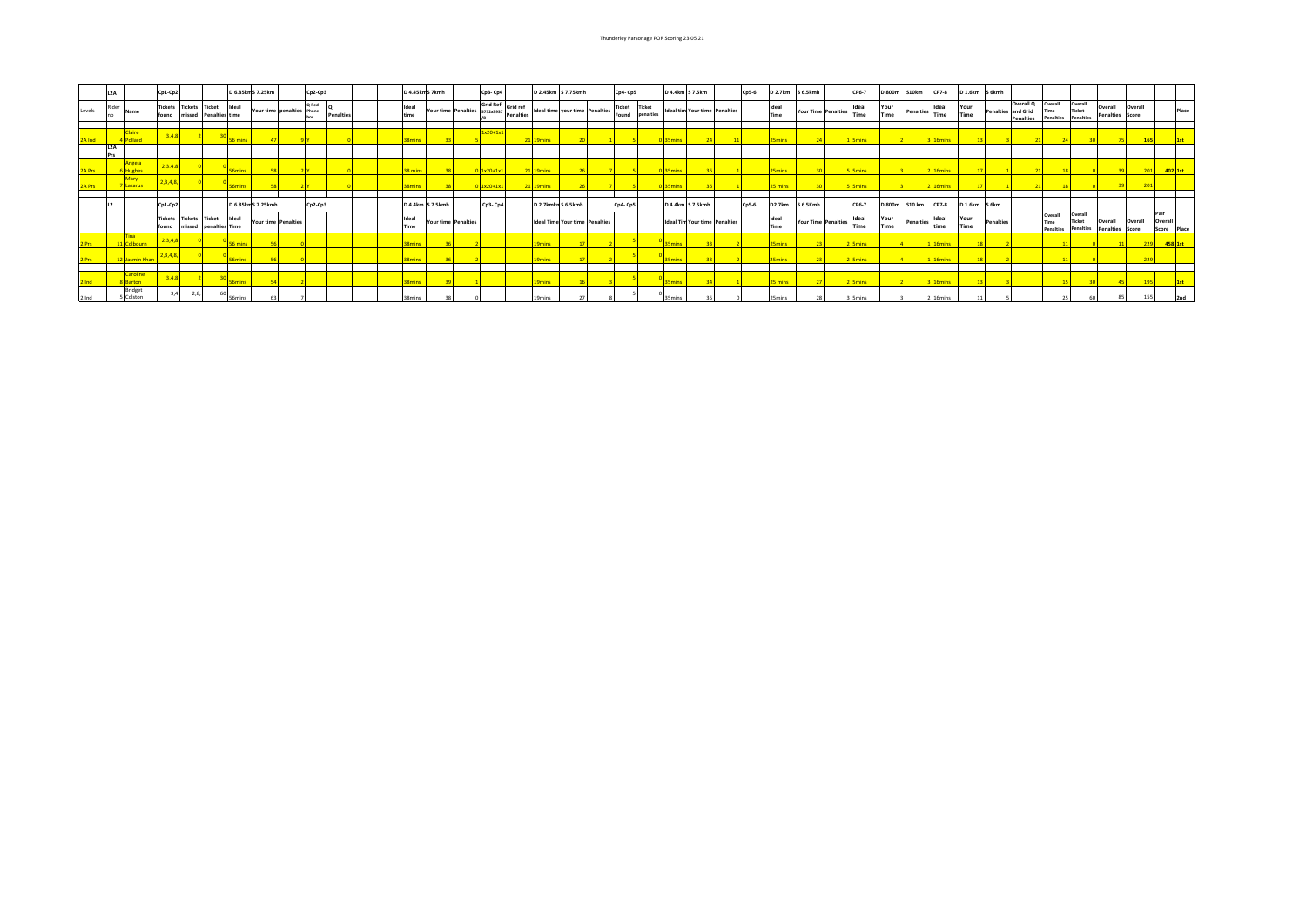|        | L <sub>2A</sub>           |             | $Cp1-Cp2$                       |                                  |                                          | D 6.85km S 7.25km  |                           | Cp2-Cp3 |                  | D 4.45km S 7kmh |                  |                     | Cp3-Cp4                                                         | D 2.45km S 7.75kmh                    | Cp4-Cp5       |                                  | D 4.4km S 7.5km |                                      | Cp5-6   | <b>D 2.7km</b> | S 6.5kmh                   | CP6-7                | D 800m       | S10km            | CP7-8         | D 1.6km S 6kmh                        |           |                                                                                  |                                |                      |                  |                  |                                  |
|--------|---------------------------|-------------|---------------------------------|----------------------------------|------------------------------------------|--------------------|---------------------------|---------|------------------|-----------------|------------------|---------------------|-----------------------------------------------------------------|---------------------------------------|---------------|----------------------------------|-----------------|--------------------------------------|---------|----------------|----------------------------|----------------------|--------------|------------------|---------------|---------------------------------------|-----------|----------------------------------------------------------------------------------|--------------------------------|----------------------|------------------|------------------|----------------------------------|
| Levels | Rider<br>Name<br>Ino.     |             | <b>Tickets Tickets</b><br>found | missed                           | <b>Ticket</b><br>Ideal<br>Penalties time |                    | Your time penalties Phnne | Q Red   | <b>Penalties</b> | Ideal<br>time   |                  |                     | Grid Ref Grid ref<br>Your time Penalties 5752x3937 Penalties 10 | Ideal time your time Penalties        | <b>Ticket</b> | <b>Ticket</b><br>Found penalties |                 | <b>Ideal tim Your time Penalties</b> |         | Ideal<br>Time  | <b>Your Time Penalties</b> | Ideal<br><b>Time</b> | Your<br>Time | <b>Penalties</b> | Ideal<br>Time | Your<br>Time                          |           | Overall Q Overall<br>Penalties and Grid<br>Time<br>Penalties<br><b>Penalties</b> | Overall<br>Ticket<br>Penalties | Overall              | <b>Penalties</b> | Overall<br>Score | Place                            |
|        | Claire                    |             |                                 |                                  |                                          |                    |                           |         |                  |                 |                  |                     | $1x20+1x1$                                                      |                                       |               |                                  |                 |                                      |         |                |                            |                      |              |                  |               |                                       |           |                                                                                  |                                |                      |                  |                  |                                  |
|        | L2A<br>Prs                |             |                                 |                                  |                                          |                    |                           |         |                  |                 |                  |                     |                                                                 |                                       |               |                                  |                 |                                      |         |                |                            |                      |              |                  |               |                                       |           |                                                                                  |                                |                      |                  |                  |                                  |
|        | Angela<br><b>Hughes</b>   |             | 2.3.4.8                         |                                  |                                          |                    |                           |         |                  |                 |                  |                     | $1x20+1x1$                                                      |                                       |               |                                  |                 |                                      |         |                |                            | <b>5mins</b>         |              |                  |               |                                       |           |                                                                                  |                                |                      |                  |                  | 402 1st                          |
|        | Lazarus                   |             | 234                             |                                  |                                          |                    |                           |         |                  |                 |                  |                     | $0$ 1x20+1x1                                                    | 21 19mins                             |               |                                  |                 |                                      |         |                |                            |                      |              |                  |               |                                       |           |                                                                                  |                                |                      |                  |                  |                                  |
|        |                           |             |                                 |                                  |                                          |                    |                           |         |                  |                 |                  |                     |                                                                 |                                       |               |                                  |                 |                                      |         |                |                            |                      |              |                  |               |                                       |           |                                                                                  |                                |                      |                  |                  |                                  |
|        |                           |             | Cp1-Cp2                         |                                  |                                          | D 6.85km S 7.25kmh |                           | Cp2-Cp3 |                  |                 | D 4.4km S 7.5kmh |                     | Cp3- Cp4                                                        | D 2.7kmkn S 6.5kmh                    | Cp4-Cp5       |                                  |                 | D 4.4km S 7.5kmh                     | $Cp5-6$ | <b>D2.7km</b>  | S 6.5Kmh                   | CP6-7                | D 800m       | <b>S10 km</b>    | CP7-8         | D <sub>1.6</sub> km S <sub>6</sub> km |           |                                                                                  |                                |                      |                  |                  | Pair                             |
|        |                           |             | found                           | <b>Tickets Tickets</b><br>missed | <b>Ticket</b><br>Ideal<br>penalties Time |                    | Your time Penalties       |         |                  | Ideal<br>Time   |                  | Your time Penalties |                                                                 | <b>Ideal Time Your time Penalties</b> |               |                                  |                 | <b>Ideal Tim Your time Penalties</b> |         | Ideal<br>Time  | <b>Your Time Penalties</b> | Ideal<br><b>Time</b> | Your<br>Time | Penalties        | Ideal<br>time | Your<br>Time                          | Penalties | Overall<br>Time<br><b>Penalties</b>                                              | Overall<br>Ticket              | Overall<br>Penalties | Penalties        | Overall<br>Score | Overall<br>Score<br><b>Place</b> |
|        |                           |             |                                 |                                  |                                          |                    |                           |         |                  |                 |                  |                     |                                                                 |                                       |               |                                  |                 |                                      |         |                |                            | <b>5mins</b>         |              |                  |               |                                       |           |                                                                                  |                                |                      |                  |                  | 458 3                            |
|        |                           | Jasmin Khar |                                 |                                  |                                          |                    |                           |         |                  |                 |                  |                     |                                                                 |                                       |               |                                  |                 |                                      |         | <b>Smins</b>   |                            | <b>Smins</b>         |              |                  |               |                                       |           |                                                                                  |                                |                      |                  | 229              |                                  |
|        |                           | Caroline    |                                 |                                  |                                          |                    |                           |         |                  |                 |                  |                     |                                                                 |                                       |               |                                  |                 |                                      |         |                |                            |                      |              |                  |               |                                       |           |                                                                                  |                                |                      |                  |                  |                                  |
|        | 8 Barton                  |             |                                 |                                  |                                          |                    |                           |         |                  |                 |                  |                     |                                                                 |                                       |               |                                  |                 |                                      |         |                |                            |                      |              |                  |               |                                       |           |                                                                                  |                                |                      |                  |                  |                                  |
| 2 Ind  | <b>Bridget</b><br>Colston |             |                                 | 2.8.                             | <b>S6mins</b>                            |                    |                           |         |                  | 38mins          |                  |                     |                                                                 | <b>9mins</b>                          |               |                                  | 35min           |                                      |         |                |                            |                      |              |                  | 16mins        |                                       |           |                                                                                  |                                |                      |                  |                  |                                  |